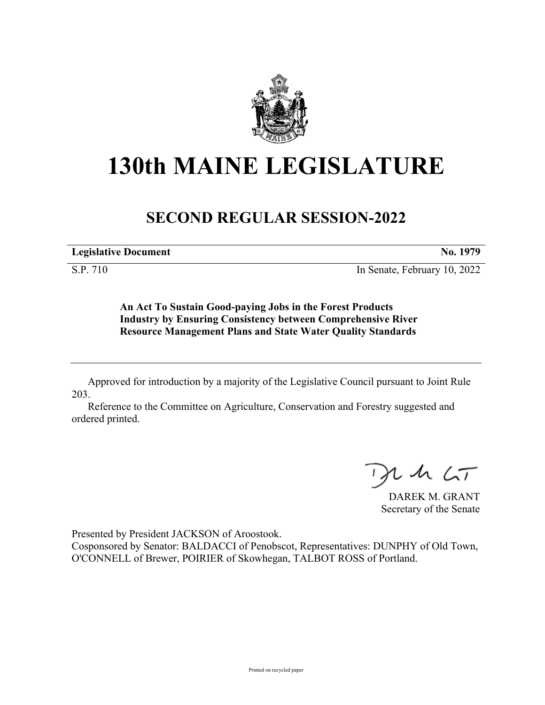

## **130th MAINE LEGISLATURE**

## **SECOND REGULAR SESSION-2022**

**Legislative Document No. 1979**

S.P. 710 In Senate, February 10, 2022

**An Act To Sustain Good-paying Jobs in the Forest Products Industry by Ensuring Consistency between Comprehensive River Resource Management Plans and State Water Quality Standards**

Approved for introduction by a majority of the Legislative Council pursuant to Joint Rule 203.

Reference to the Committee on Agriculture, Conservation and Forestry suggested and ordered printed.

 $125$ 

DAREK M. GRANT Secretary of the Senate

Presented by President JACKSON of Aroostook.

Cosponsored by Senator: BALDACCI of Penobscot, Representatives: DUNPHY of Old Town, O'CONNELL of Brewer, POIRIER of Skowhegan, TALBOT ROSS of Portland.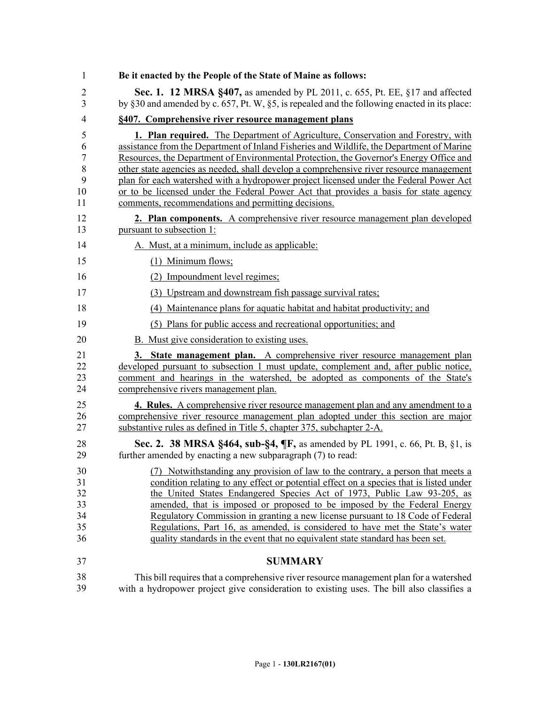| 1                                                | Be it enacted by the People of the State of Maine as follows:                                                                                                                                                                                                                                                                                                                                                                                                                                                                                                                                                       |
|--------------------------------------------------|---------------------------------------------------------------------------------------------------------------------------------------------------------------------------------------------------------------------------------------------------------------------------------------------------------------------------------------------------------------------------------------------------------------------------------------------------------------------------------------------------------------------------------------------------------------------------------------------------------------------|
| $\overline{2}$<br>3                              | Sec. 1. 12 MRSA §407, as amended by PL 2011, c. 655, Pt. EE, §17 and affected<br>by §30 and amended by c. 657, Pt. W, §5, is repealed and the following enacted in its place:                                                                                                                                                                                                                                                                                                                                                                                                                                       |
| 4                                                | §407. Comprehensive river resource management plans                                                                                                                                                                                                                                                                                                                                                                                                                                                                                                                                                                 |
| 5<br>6<br>$\boldsymbol{7}$<br>8<br>9<br>10<br>11 | <b>1. Plan required.</b> The Department of Agriculture, Conservation and Forestry, with<br>assistance from the Department of Inland Fisheries and Wildlife, the Department of Marine<br>Resources, the Department of Environmental Protection, the Governor's Energy Office and<br>other state agencies as needed, shall develop a comprehensive river resource management<br>plan for each watershed with a hydropower project licensed under the Federal Power Act<br>or to be licensed under the Federal Power Act that provides a basis for state agency<br>comments, recommendations and permitting decisions. |
| 12<br>13                                         | 2. Plan components. A comprehensive river resource management plan developed<br>pursuant to subsection 1:                                                                                                                                                                                                                                                                                                                                                                                                                                                                                                           |
| 14                                               | A. Must, at a minimum, include as applicable:                                                                                                                                                                                                                                                                                                                                                                                                                                                                                                                                                                       |
| 15                                               | (1) Minimum flows;                                                                                                                                                                                                                                                                                                                                                                                                                                                                                                                                                                                                  |
| 16                                               | (2) Impoundment level regimes;                                                                                                                                                                                                                                                                                                                                                                                                                                                                                                                                                                                      |
| 17                                               | (3) Upstream and downstream fish passage survival rates;                                                                                                                                                                                                                                                                                                                                                                                                                                                                                                                                                            |
| 18                                               | (4) Maintenance plans for aquatic habitat and habitat productivity; and                                                                                                                                                                                                                                                                                                                                                                                                                                                                                                                                             |
| 19                                               | (5) Plans for public access and recreational opportunities; and                                                                                                                                                                                                                                                                                                                                                                                                                                                                                                                                                     |
| 20                                               | B. Must give consideration to existing uses.                                                                                                                                                                                                                                                                                                                                                                                                                                                                                                                                                                        |
| 21<br>22<br>23<br>24                             | 3. State management plan. A comprehensive river resource management plan<br>developed pursuant to subsection 1 must update, complement and, after public notice,<br>comment and hearings in the watershed, be adopted as components of the State's<br>comprehensive rivers management plan.                                                                                                                                                                                                                                                                                                                         |
| 25<br>26<br>27                                   | 4. Rules. A comprehensive river resource management plan and any amendment to a<br>comprehensive river resource management plan adopted under this section are major<br>substantive rules as defined in Title 5, chapter 375, subchapter 2-A.                                                                                                                                                                                                                                                                                                                                                                       |
| 28<br>29                                         | <b>Sec. 2. 38 MRSA §464, sub-§4, <math>\P</math>F</b> , as amended by PL 1991, c. 66, Pt. B, §1, is<br>further amended by enacting a new subparagraph (7) to read:                                                                                                                                                                                                                                                                                                                                                                                                                                                  |
| 30<br>31<br>32<br>33<br>34<br>35<br>36           | (7) Notwithstanding any provision of law to the contrary, a person that meets a<br>condition relating to any effect or potential effect on a species that is listed under<br>the United States Endangered Species Act of 1973, Public Law 93-205, as<br>amended, that is imposed or proposed to be imposed by the Federal Energy<br>Regulatory Commission in granting a new license pursuant to 18 Code of Federal<br>Regulations, Part 16, as amended, is considered to have met the State's water<br>quality standards in the event that no equivalent state standard has been set.                               |
| 37                                               | <b>SUMMARY</b>                                                                                                                                                                                                                                                                                                                                                                                                                                                                                                                                                                                                      |
| 38<br>39                                         | This bill requires that a comprehensive river resource management plan for a watershed<br>with a hydropower project give consideration to existing uses. The bill also classifies a                                                                                                                                                                                                                                                                                                                                                                                                                                 |